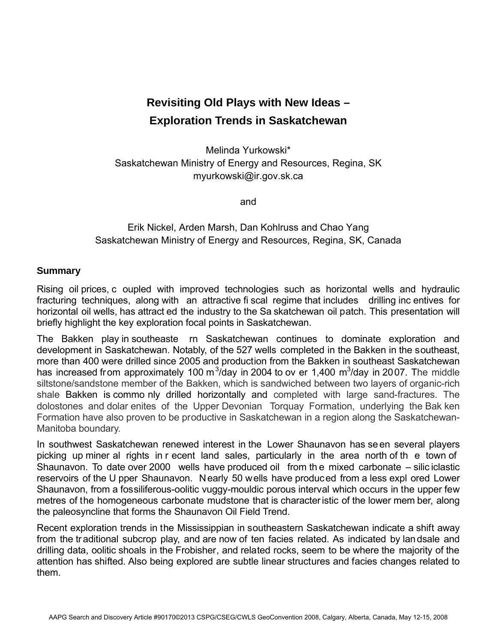## **Revisiting Old Plays with New Ideas – Exploration Trends in Saskatchewan**

Melinda Yurkowski\* Saskatchewan Ministry of Energy and Resources, Regina, SK myurkowski@ir.gov.sk.ca

and

## Erik Nickel, Arden Marsh, Dan Kohlruss and Chao Yang Saskatchewan Ministry of Energy and Resources, Regina, SK, Canada

## **Summary**

Rising oil prices, c oupled with improved technologies such as horizontal wells and hydraulic fracturing techniques, along with an attractive fi scal regime that includes drilling inc entives for horizontal oil wells, has attract ed the industry to the Sa skatchewan oil patch. This presentation will briefly highlight the key exploration focal points in Saskatchewan.

The Bakken play in southeaste rn Saskatchewan continues to dominate exploration and development in Saskatchewan. Notably, of the 527 wells completed in the Bakken in the southeast, more than 400 were drilled since 2005 and production from the Bakken in southeast Saskatchewan has increased from approximately 100 m<sup>3</sup>/day in 2004 to ov er 1,400 m<sup>3</sup>/day in 2007. The middle siltstone/sandstone member of the Bakken, which is sandwiched between two layers of organic-rich shale Bakken is commo nly drilled horizontally and completed with large sand-fractures. The dolostones and dolar enites of the Upper Devonian Torquay Formation, underlying the Bak ken Formation have also proven to be productive in Saskatchewan in a region along the Saskatchewan-Manitoba boundary.

In southwest Saskatchewan renewed interest in the Lower Shaunavon has se en several players picking up miner al rights in r ecent land sales, particularly in the area north of th e town of Shaunavon. To date over 2000 wells have produced oil from th e mixed carbonate – silic iclastic reservoirs of the U pper Shaunavon. Nearly 50 wells have produced from a less expl ored Lower Shaunavon, from a fossiliferous-oolitic vuggy-mouldic porous interval which occurs in the upper few metres of the homogeneous carbonate mudstone that is character istic of the lower mem ber, along the paleosyncline that forms the Shaunavon Oil Field Trend.

Recent exploration trends in the Mississippian in southeastern Saskatchewan indicate a shift away from the tr aditional subcrop play, and are now of ten facies related. As indicated by landsale and drilling data, oolitic shoals in the Frobisher, and related rocks, seem to be where the majority of the attention has shifted. Also being explored are subtle linear structures and facies changes related to them.